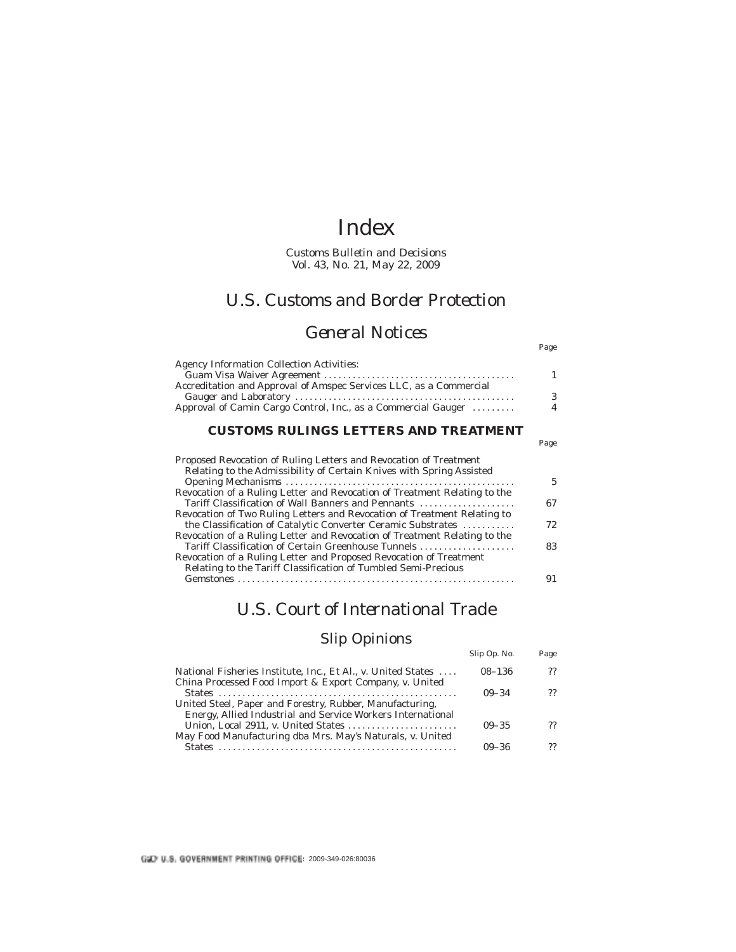# Index

*Customs Bulletin and Decisions Vol. 43, No. 21, May 22, 2009*

## *U.S. Customs and Border Protection*

### *General Notices*

Page

| <b>Agency Information Collection Activities:</b>                   |   |
|--------------------------------------------------------------------|---|
|                                                                    |   |
| Accreditation and Approval of Amspec Services LLC, as a Commercial |   |
|                                                                    | 3 |
| Approval of Camin Cargo Control, Inc., as a Commercial Gauger      |   |
|                                                                    |   |
|                                                                    |   |

#### *CUSTOMS RULINGS LETTERS AND TREATMENT*

Page

| Proposed Revocation of Ruling Letters and Revocation of Treatment<br>Relating to the Admissibility of Certain Knives with Spring Assisted |    |
|-------------------------------------------------------------------------------------------------------------------------------------------|----|
|                                                                                                                                           | 5  |
| Revocation of a Ruling Letter and Revocation of Treatment Relating to the                                                                 |    |
| Tariff Classification of Wall Banners and Pennants                                                                                        | 67 |
| Revocation of Two Ruling Letters and Revocation of Treatment Relating to                                                                  |    |
| the Classification of Catalytic Converter Ceramic Substrates                                                                              | 72 |
| Revocation of a Ruling Letter and Revocation of Treatment Relating to the                                                                 |    |
| Tariff Classification of Certain Greenhouse Tunnels                                                                                       | 83 |
| Revocation of a Ruling Letter and Proposed Revocation of Treatment                                                                        |    |
| Relating to the Tariff Classification of Tumbled Semi-Precious                                                                            |    |
|                                                                                                                                           | 91 |

### *U.S. Court of International Trade*

### Slip Opinions

|                                                                                                                         | Slip Op. No. | Page |
|-------------------------------------------------------------------------------------------------------------------------|--------------|------|
| National Fisheries Institute, Inc., Et Al., v. United States                                                            | $08 - 136$   |      |
| China Processed Food Import & Export Company, v. United                                                                 | $09 - 34$    |      |
| United Steel, Paper and Forestry, Rubber, Manufacturing,<br>Energy, Allied Industrial and Service Workers International |              |      |
|                                                                                                                         | $09 - 35$    |      |
| May Food Manufacturing dba Mrs. May's Naturals, v. United<br><b>States</b>                                              | $09 - 36$    |      |